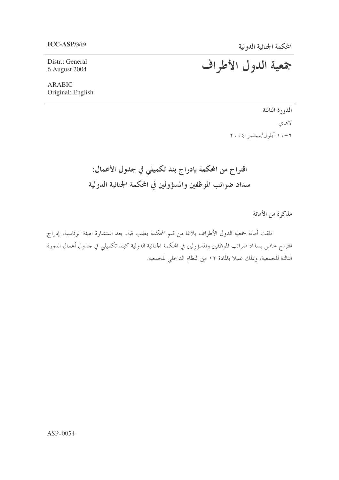Distr.: General 6 August 2004

**ARABIC** Original: English جمعية الدول الأطراف

الدورة الثالثة لاهای  $Y \cdot \cdot \xi$  أيلول $/$ سبتمبر ٢٠٠٤

اقتراح من المحكمة بإدراج بند تكميلي في جدول الأعمال: سداد ضرائب الموظفين والمسؤولين في المحكمة الجنائية الدولية

مذكرة من الأمانة

تلقت أمانة جمعية الدول الأطراف بلاغا من قلم المحكمة يطلب فيه، بعد استشارة الهيئة الرئاسية، إدراج اقتراح خاص بسداد ضرائب الموظفين والمسؤولين في المحكمة الجنائية الدولية كبند تكميلي في حدول أعمال الدورة الثالثة للجمعية، وذلك عملاً بالمادة ١٢ من النظام الداخلي للجمعية.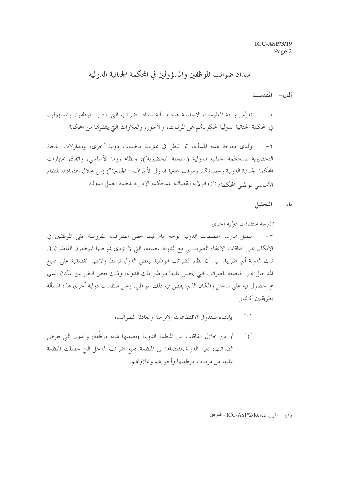## سداد ضرائب الموظفين والمسؤولين في المحكمة الجنائية الدولية

ألف – المقدمة

١– تَدرُس وثيقة المعلومات الأساسية هذه مسألة سداد الضرائب التي يؤديها الموظفون والمسؤولون في المحكمة الجنائية الدولية لحكوماتمم عن المرتبات، والأجور، والعلاوات التي يتلقوها من المحكمة.

ولدى معالجة هذه المسألة، تم النظر في ممارسة منظمات دولية أخرى، ومداولات اللجنة  $-7$ التحضيرية للمحكمة الجنائية الدولية ("اللجنة التحضيرية")، ونظام روما الأساسي، واتفاق امتيازات المحكمة الجنائية الدولية وحصاناتما، وموقف جمعية الدول الأطراف ("الجمعية") (من خلال اعتمادها للنظام الأساسي لموظفي المحكمة) (`) والولاية القضائية للمحكمة الإدارية لمنظمة العمل الدولية.

باء التحليل

- $\sim$ بإنشاء صندوق الاقتطاعات الإلزامية ومعادلة الضرائب؛
- $\sim$ أو من حلال اتفاقات بين المنظمة الدولية (بصفتها هيئة موظَّفة) والدول التي تفرض الضرائب، تعيد الدولة بمقتضاها إلى المنظمة جميع ضرائب الدخل التي حصلت المنظمة عليها من مرتبات موظفيها وأجورهم وعلاواقم.

<sup>(</sup>١) القرار، ICC-ASP/2/Res.2 ، المرفق.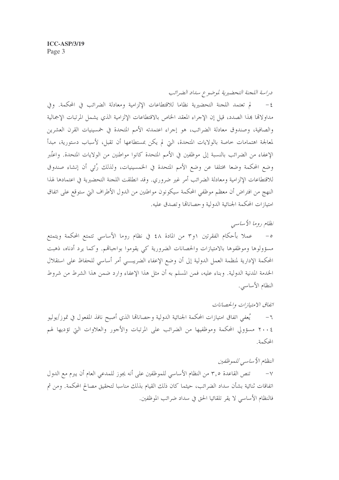دراسة اللجنة التحضيرية لموضوع سداد الضرائب

لم تعتمد اللجنة التحضيرية نظاما للاقتطاعات الإلزامية ومعادلة الضرائب في المحكمة. وفي  $-\xi$ مداولاتما بمذا الصدد، قيل إن الإجراء المعقد الخاص بالاقتطاعات الإلزامية الذي يشمل المرتبات الإجمالية والصافية، وصندوق معادلة الضرائب، هو إجراء اعتمدته الأمم المتحدة في خمسينيات القرن العشرين لمعالجة اهتمامات خاصة بالولايات المتحدة، التي لم يكن بمستطاعها أن تقبل، لأسباب دستورية، مبدأ الإعفاء من الضرائب بالنسبة إلى موظفين في الأمم المتحدة كانوا مواطنين من الولايات المتحدة. واعتُبر وضع المحكمة وضعا مختلفا عن وضع الأمم المتحدة في الخمسينيات، ولذلك رُمًى أن إنشاء صندوق للاقتطاعات الإلزامية ومعادلة الضرائب أمرٍ غيرٍ ضروري. وقد انطلقت اللجنة التحضيرية في اعتمادها لهذا النهج من افتراض أن معظم موظفي المحكمة سيكونون مواطنين من الدول الأطراف التي ستوقع على اتفاق امتيازات المحكمة الجنائية الدولية وحصاناتما وتصدق عليه.

نظام روما الأساسبي

٥– عملا بأحكام الفقرتين ١و٣ من المادة ٤٨ في نظام روما الأساسي تتمتع المحكمة ويتمتع مسؤولوها وموظفوها بالامتيازات والحصانات الضرورية كبي يقوموا بواجباقم. وكما يرد أدناه، ذهبت المحكمة الإدارية لمنظمة العمل الدولية إلى أن وضع الإعفاء الضريبي أمر أساسي للحفاظ على استقلال الخدمة المدنية الدولية. وبناء عليه، فمن المسلم به أن مثل هذا الإعفاء وارد ضمن هذا الشرط من شروط النظام الأساسي.

اتفاق الامتيازات والحصانات يُعفى اتفاق امتيازات المحكمة الجنائية الدولية وحصاناقما الذي أصبح نافذ المفعول في تموز/يوليو  $-7$ ٢٠٠٤ مسؤولي المحكمة وموظفيها من الضرائب على المرتبات والأجور والعلاوات التي تؤديها لهم المحكمة.

## النظام الأساسي للموظفين

تنص القاعدة ٣,٥ من النظام الأساسي للموظفين على أنه يجوز للمدعى العام أن يبرم مع الدول  $-\vee$ اتفاقات ثنائية بشأن سداد الضرائب، حيثما كان ذلك القيام بذلك مناسبا لتحقيق مصالح المحكمة. ومن ثم فالنظام الأساسي لا يقر تلقائيا الحق في سداد ضرائب الموظفين.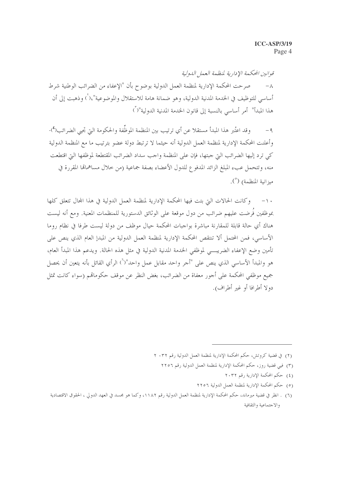قوانين المحكمة الإدارية لمنظهة الععل الدولية صرحت المحكمة الإدارية لمنظمة العمل الدولية بوضوح بأن "الإعفاء من الضرائب الوطنية شرط  $-\lambda$ أساسي للتوظيف في الخدمة المدنية الدولية، وهو ضمانة هامة للاستقلال والموضوعية"،( ) وذهبت إلى أن هذا المبدأ" أمر أساسي بالنسبة إلى قانون الخدمة المدنية الدولية"(")

وقد اعتُبر هذا المبدأ مستقلا عن أي ترتيب بين المنظمة الموظِّفة والحكومة التي تجيى الضرائب(٤).  $-9$ وأعلنت المحكمة الإدارية لمنظمة العمل الدولية أنه حيثما لا ترتبط دولة عضو بترتيب ما مع المنظمة الدولية كي ترد إليها الضرائب التي جبتها، فإن على المنظمة واجب سداد الضرائب المقتطعة لموظفها التي اقتطعت منه، وتتحمل عبء المبلغ الزائد المدفوع للدول الأعضاء بصفة جماعية (من حلال مساهمالها المقررة في ميزانية المنظمة) (°).

وكانت الحالات التي بتت فيها المحكمة الإدارية لمنظمة العمل الدولية في هذا المجال تتعلق كلها  $-1$ بموظفين فُرضت عليهم ضرائب من دول موقعة على الوثائق الدستورية للمنظمات المعنية. ومع أنه ليست هناك أي حالة قابلة للمقارنة مباشرة بواجبات المحكمة حيال موظف من دولة ليست طرفا في نظام روما الأساسي، فمن المحتمل ألا تنتقص المحكمة الإدارية لمنظمة العمل الدولية من المبدإ العام الذي ينص على تأمين وضع الإعفاء الضريب, لموظفي الخدمة المدنية الدولية في مثل هذه الحالة. ويدعم هذا المبدأ العام، هو والمبدأ الأساسي الذي ينص على "أجر واحد مقابل عمل واحد"(``) الرأي القائل بأنه يتعين أن يحصل جميع موظفى المحكمة على أجور معفاة من الضرائب، بغض النظر عن موقف حكوماتهم (سواء كانت تمثل دولا أطرافا أو غير أطراف).

- (٢) في قضية كروتش، حكم المحكمة الإدارية لمنظمة العمل الدولية رقم ٢٠٣٢ ٢
	- (٣) فيي قضية روز، حكم المحكمة الإدارية لمنظمة العمل الدولية رقم ٢٢٥٦
		- (٤) حكم المحكمة الإدارية رقم ٢٠٣٢
		- (٥) حكم المحكمة الإدارية لمنظمة العمل الدولية ٢٢٥٦

<sup>(</sup>٦) . انظر في قضية ميرماند، حكم المحكمة الإدارية لمنظمة العمل الدولية رقم ١١٨٢، وكما هو مجسد في العهد الدولي ، الحقوق الاقتصادية والاجتماعية والثقافية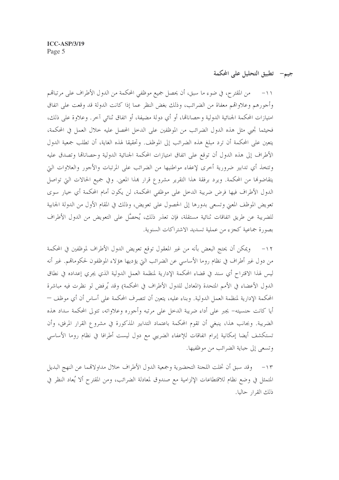جيم– تطبيق التحليل على المكمة

من المقترح، في ضوءِ ما سبق، أن يحصل جميع موظفي المحكمة من الدول الأطراف على مرتباهم  $-11$ وأجورهم وعلاواقمم معفاة من الضرائب، وذلك بغض النظر عما إذا كانت الدولة قد وقعت على اتفاق امتيازات المحكمة الجنائية الدولية وحصاناتما، أو أي دولة مضيفة، أو اتفاق ثنائي آخر. وعلاوة على ذلك، فحيثما تجبي مثل هذه الدول الضرائب من الموظفين على الدخل المحصل عليه خلال العمل في المحكمة، يتعين على المحكمة أن ترد مبلغ هذه الضرائب إلى الموظف. وتحقيقا لهذه الغاية، أن تطلب جمعية الدول الأطراف إلى هذه الدول أن توقع على اتفاق امتيازات المحكمة الجنائية الدولية وحصاناقما وتصدق عليه وتتخذ أي تدابير ضرورية أخرى لإعفاء مواطنيها من الضرائب على المرتبات والأجور والعلاوات التي يتقاضوها من المحكمة. ويرد برفقة هذا التقرير مشروع قرار بمذا المعنى. وفي جميع الحالات التي تواصل الدول الأطراف فيها فرض ضريبة الدحل على موظفي المحكمة، لن يكون أمام المحكمة أي خيار سوى تعويض الموظف المعنى وتسعى بدورها إلى الحصول على تعويض، وذلك في المقام الأول من الدولة الجابية للضريبة عن طريق اتفاقات ثنائية مستقلة، فإن تعذر ذلك، يُحصَّل على التعويض من الدول الأطراف بصورة جماعية كجزء من عملية تسديد الاشتراكات السنوية.

١٢– ويمكن أن يحتج البعض بأنه من غير المعقول توقع تعويض الدول الأطراف لموظفين في المحكمة من دول غير أطراف في نظام روما الأساسي عن الضرائب التي يؤديها هؤلاء الموظفون لحكوماتهم. غير أنه ليس لهذا الاقتراح أي سند في قضاء المحكمة الإدارية لمنظمة العمل الدولية الذي يجري إعداده في نطاق الدول الأعضاء في الأمم المتحدة (المعادل للدول الأطراف في المحكمة) وقد يُرفض لو نظرت فيه مباشرة المحكمة الإدارية لمنظمة العمل الدولية. وبناء عليه، يتعين أن تتصرف المحكمة على أساس أن أي موظف — أيا كانت جنسيته– يجبر على أداء ضريبة الدحل على مرتبه وأجوره وعلاواته، تتولى المحكمة سداد هذه الضريبة. وبجانب هذا، ينبغي أن تقوم المحكمة باعتماد التدابير المذكورة في مشروع القرار المرفق، وأن تستكشف أيضا إمكانية إبرام اتفاقات للإعفاء الضريبي مع دول ليست أطرافا في نظام روما الأساسي وتسعى إلى جباية الضرائب من موظفيها.

١٣ – وقد سبق أن تخلت اللجنة التحضيرية وجمعية الدول الأطراف خلال مداولاقمما عن النهج البديل المتمثل في وضع نظام للاقتطاعات الإلزامية مع صندوق لمعادلة الضرائب، ومن المقترح ألا يُعاد النظر في ذلك القرار حاليا.